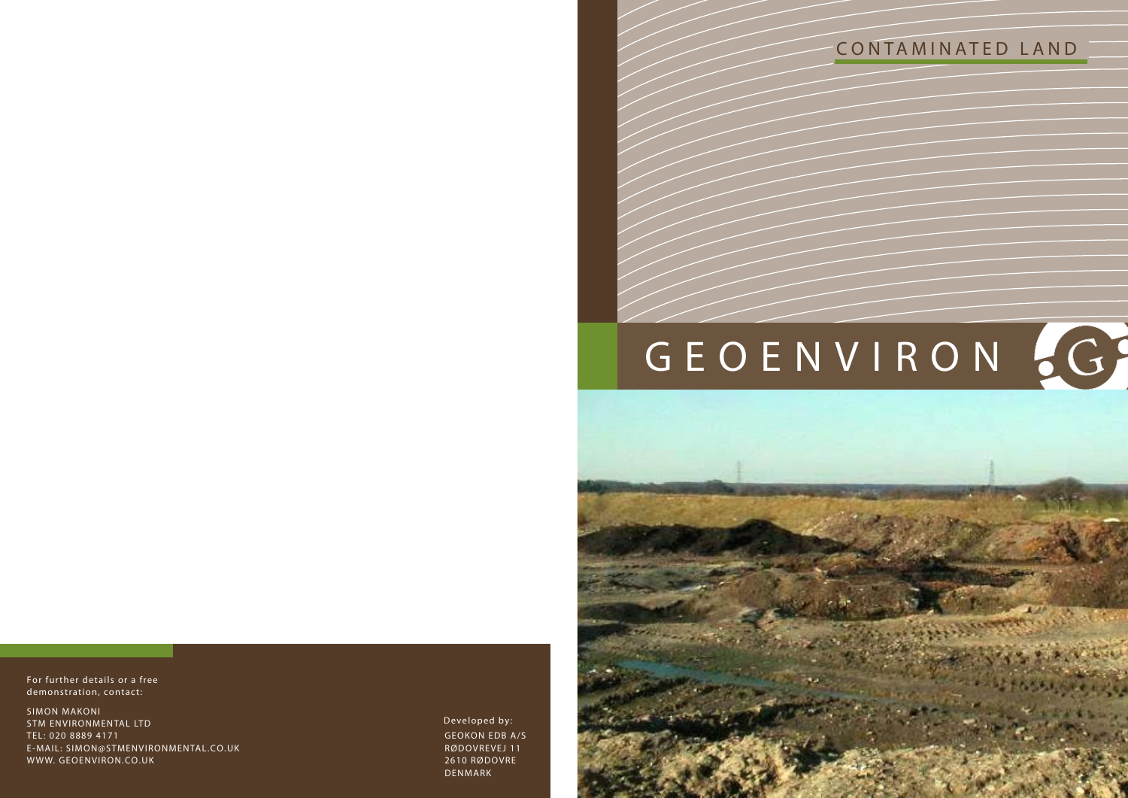



GEOKON EDB A/S RØDOVREVEJ 11 2610 RØDOVRE DENMARK **Developed by:**



SIMON MAKONI STM ENVIRONMENTAL LTD TEL: 020 8889 4171 E-MAIL: SIMON@STMENVIRONMENTAL.CO.UK WWW. GEOENVIRON.CO.UK

**For further details or a free demonstration, contact:**